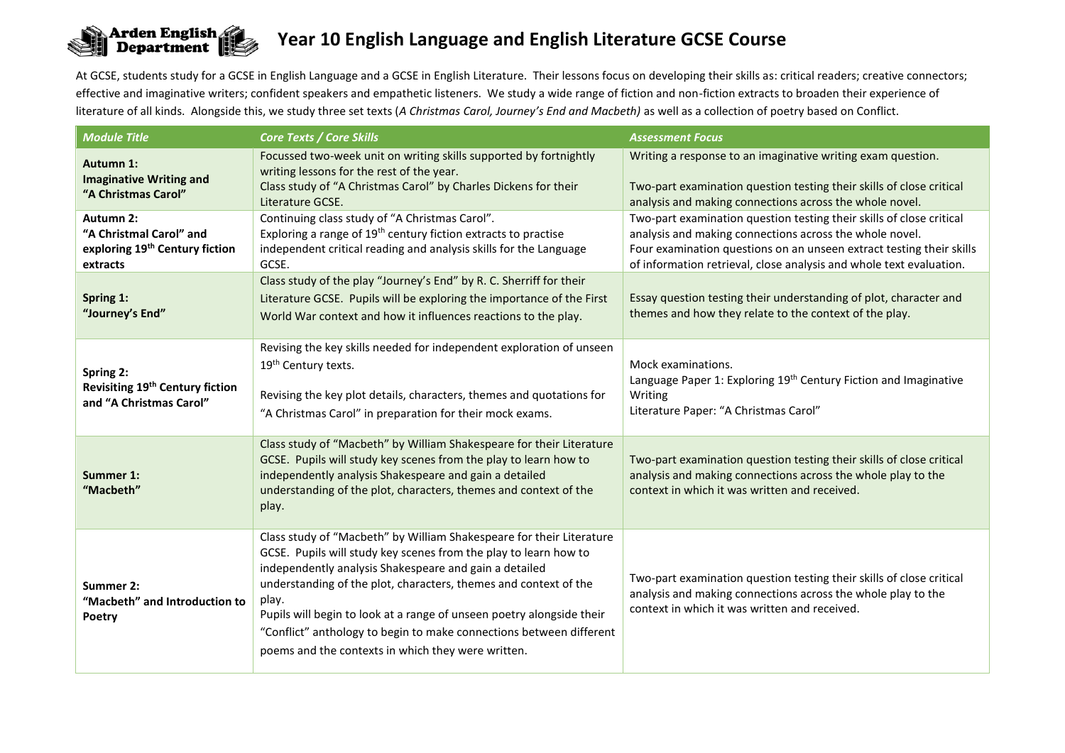

## **Year 10 English Language and English Literature GCSE Course**

At GCSE, students study for a GCSE in English Language and a GCSE in English Literature. Their lessons focus on developing their skills as: critical readers; creative connectors; effective and imaginative writers; confident speakers and empathetic listeners. We study a wide range of fiction and non-fiction extracts to broaden their experience of literature of all kinds. Alongside this, we study three set texts (*A Christmas Carol, Journey's End and Macbeth)* as well as a collection of poetry based on Conflict.

| <b>Module Title</b>                                                                            | <b>Core Texts / Core Skills</b>                                                                                                                                                                                                                                                                                                                                                                                                                                                       | <b>Assessment Focus</b>                                                                                                                                                                                                                                                        |
|------------------------------------------------------------------------------------------------|---------------------------------------------------------------------------------------------------------------------------------------------------------------------------------------------------------------------------------------------------------------------------------------------------------------------------------------------------------------------------------------------------------------------------------------------------------------------------------------|--------------------------------------------------------------------------------------------------------------------------------------------------------------------------------------------------------------------------------------------------------------------------------|
| <b>Autumn 1:</b><br><b>Imaginative Writing and</b><br>"A Christmas Carol"                      | Focussed two-week unit on writing skills supported by fortnightly<br>writing lessons for the rest of the year.<br>Class study of "A Christmas Carol" by Charles Dickens for their<br>Literature GCSE.                                                                                                                                                                                                                                                                                 | Writing a response to an imaginative writing exam question.<br>Two-part examination question testing their skills of close critical<br>analysis and making connections across the whole novel.                                                                                 |
| Autumn 2:<br>"A Christmal Carol" and<br>exploring 19 <sup>th</sup> Century fiction<br>extracts | Continuing class study of "A Christmas Carol".<br>Exploring a range of 19 <sup>th</sup> century fiction extracts to practise<br>independent critical reading and analysis skills for the Language<br>GCSE.                                                                                                                                                                                                                                                                            | Two-part examination question testing their skills of close critical<br>analysis and making connections across the whole novel.<br>Four examination questions on an unseen extract testing their skills<br>of information retrieval, close analysis and whole text evaluation. |
| Spring 1:<br>"Journey's End"                                                                   | Class study of the play "Journey's End" by R. C. Sherriff for their<br>Literature GCSE. Pupils will be exploring the importance of the First<br>World War context and how it influences reactions to the play.                                                                                                                                                                                                                                                                        | Essay question testing their understanding of plot, character and<br>themes and how they relate to the context of the play.                                                                                                                                                    |
| Spring 2:<br>Revisiting 19 <sup>th</sup> Century fiction<br>and "A Christmas Carol"            | Revising the key skills needed for independent exploration of unseen<br>19 <sup>th</sup> Century texts.<br>Revising the key plot details, characters, themes and quotations for<br>"A Christmas Carol" in preparation for their mock exams.                                                                                                                                                                                                                                           | Mock examinations.<br>Language Paper 1: Exploring 19th Century Fiction and Imaginative<br>Writing<br>Literature Paper: "A Christmas Carol"                                                                                                                                     |
| Summer 1:<br>"Macbeth"                                                                         | Class study of "Macbeth" by William Shakespeare for their Literature<br>GCSE. Pupils will study key scenes from the play to learn how to<br>independently analysis Shakespeare and gain a detailed<br>understanding of the plot, characters, themes and context of the<br>play.                                                                                                                                                                                                       | Two-part examination question testing their skills of close critical<br>analysis and making connections across the whole play to the<br>context in which it was written and received.                                                                                          |
| Summer 2:<br>"Macbeth" and Introduction to<br>Poetry                                           | Class study of "Macbeth" by William Shakespeare for their Literature<br>GCSE. Pupils will study key scenes from the play to learn how to<br>independently analysis Shakespeare and gain a detailed<br>understanding of the plot, characters, themes and context of the<br>play.<br>Pupils will begin to look at a range of unseen poetry alongside their<br>"Conflict" anthology to begin to make connections between different<br>poems and the contexts in which they were written. | Two-part examination question testing their skills of close critical<br>analysis and making connections across the whole play to the<br>context in which it was written and received.                                                                                          |